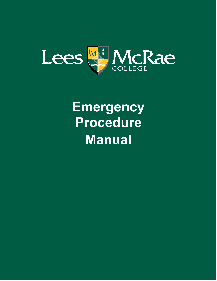

# **Emergency Procedure Manual**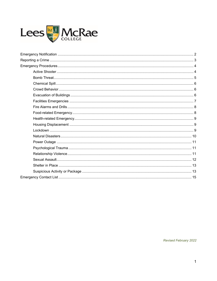

<span id="page-1-0"></span>Revised February 2022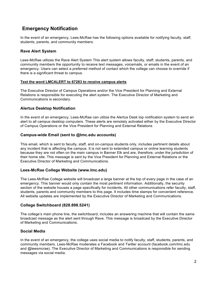# **Emergency Notification**

In the event of an emergency, Lees-McRae has the following options available for notifying faculty, staff, students, parents, and community members:

## **Rave Alert System**

Lees-McRae utilizes the Rave Alert System This alert system allows faculty, staff, students, parents, and community members the opportunity to receive text messages, voicemails, or emails in the event of an emergency. Users can select a preferred method of contact which the college can choose to override if there is a significant threat to campus.

#### **Text the word LMCALERT to 67283 to receive campus alerts**

The Executive Director of Campus Operations and/or the Vice President for Planning and External Relations is responsible for executing the alert system. The Executive Director of Marketing and Communications is secondary.

## **Alertus Desktop Notification**

In the event of an emergency, Lees-McRae can utilize the Alertus Desk top notification system to send an alert to all campus desktop computers. These alerts are remotely activated either by the Executive Director of Campus Operations or the Vice President for Planning and External Relations

## **Campus-wide Email (sent to @lmc.edu accounts)**

This email, which is sent to faculty, staff, and on-campus students only, includes pertinent details about any incident that is affecting the campus. It is not sent to extended campus or online learning students because they are not often on the main campus in Banner Elk and are, therefore, under the jurisdiction of their home site. This message is sent by the Vice President for Planning and External Relations or the Executive Director of Marketing and Communications.

## **Lees-McRae College Website (www.lmc.edu)**

The Lees-McRae College website will broadcast a large banner at the top of every page in the case of an emergency. This banner would only contain the most pertinent information. Additionally, the security section of the website houses a page specifically for incidents. All other communications refer faculty, staff, students, parents and community members to this page. It includes time stamps for convenient reference. All website updates are implemented by the Executive Director of Marketing and Communications.

## **College Switchboard (828.898.5241)**

The college's main phone line, the switchboard, includes an answering machine that will contain the same broadcast message as the alert sent through Rave. This message is broadcast by the Executive Director of Marketing and Communications.

# **Social Media**

In the event of an emergency, the college uses social media to notify faculty, staff, students, parents, and community members. Lees-McRae moderates a Facebook and Twitter account (facebook.com/lmc.edu and @leesmcrae). The Executive Director of Marketing and Communications is responsible for sending messages via social media.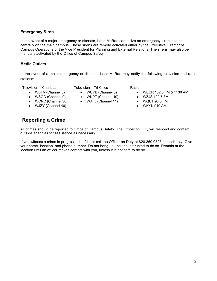## **Emergency Siren**

In the event of a major emergency or disaster, Lees-McRae can utilize an emergency siren located centrally on the main campus. These sirens are remote activated either by the Executive Director of Campus Operations or the Vice President for Planning and External Relations. The sirens may also be manually activated by the Office of Campus Safety.

## **Media Outlets**

In the event of a major emergency or disaster, Lees-McRae may notify the following television and radio stations:

Television – Charlotte

- WBTV (Channel 3)
- WSOC (Channel 9)
- WCNC (Channel 36)
- WJZY (Channel 46)

# <span id="page-3-0"></span>**Reporting a Crime**

## Television – Tri-Cities

- WCYB (Channel 5)
- WKPT (Channel 19)
- WJHL (Channel 11)

## Radio

- WECR 102.3 FM & 1130 AM
- WZJS 100.7 FM
- WQUT 98.5 FM
- WKYK 940 AM

All crimes should be reported to Office of Campus Safety. The Officer on Duty will respond and contact outside agencies for assistance as necessary.

If you witness a crime in progress, dial 911 or call the Officer on Duty at 828.260.0505 immediately. Give your name, location, and phone number. Do not hang up until the instructed to do so. Remain at the location until an officer makes contact with you, unless it is not safe to do so.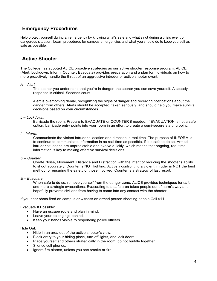# <span id="page-4-0"></span>**Emergency Procedures**

Help protect yourself during an emergency by knowing what's safe and what's not during a crisis event or dangerous situation. Learn procedures for campus emergencies and what you should do to keep yourself as safe as possible.

# <span id="page-4-1"></span>**Active Shooter**

The College has adopted ALICE proactive strategies as our active shooter response program. ALICE (Alert, Lockdown, Inform, Counter, Evacuate) provides preparation and a plan for individuals on how to more proactively handle the threat of an aggressive intruder or active shooter event.

#### *A – Alert*

The sooner you understand that you're in danger, the sooner you can save yourself. A speedy response is critical. Seconds count.

Alert is overcoming denial, recognizing the signs of danger and receiving notifications about the danger from others. Alerts should be accepted, taken seriously, and should help you make survival decisions based on your circumstances.

#### *L – Lockdown:*

Barricade the room. Prepare to EVACUATE or COUNTER if needed. If EVACUATION is not a safe option, barricade entry points into your room in an effort to create a semi-secure starting point.

#### *I – Inform:*

Communicate the violent intruder's location and direction in real time. The purpose of INFORM is to continue to communicate information in as real time as possible, if it is safe to do so. Armed intruder situations are unpredictable and evolve quickly, which means that ongoing, real-time information is key to making effective survival decisions.

#### *C – Counter:*

Create Noise, Movement, Distance and Distraction with the intent of reducing the shooter's ability to shoot accurately. Counter is NOT fighting. Actively confronting a violent intruder is NOT the best method for ensuring the safety of those involved. Counter is a strategy of last resort.

#### *E – Evacuate:*

When safe to do so, remove yourself from the danger zone. ALICE provides techniques for safer and more strategic evacuations. Evacuating to a safe area takes people out of harm's way and hopefully prevents civilians from having to come into any contact with the shooter.

If you hear shots fired on campus or witness an armed person shooting people Call 911.

Evacuate If Possible:

- Have an escape route and plan in mind.
- Leave your belongings behind.
- Keep your hands visible to responding police officers.

#### Hide Out:

- Hide in an area out of the active shooter's view.
- Block entry to your hiding place, turn off lights, and lock doors.
- Place yourself and others strategically in the room; do not huddle together.
- Silence cell phones.
- Ignore fire alarms, unless you see smoke or fire.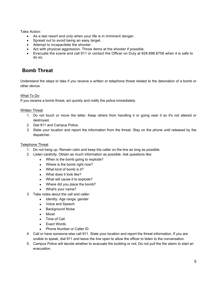Take Action:

- As a last resort and only when your life is in imminent danger.
- Spread out to avoid being an easy target.
- Attempt to incapacitate the shooter.
- Act with physical aggression. Throw items at the shooter if possible.
- Evacuate the scene and call 911 or contact the Officer on Duty at 828.898.8756 when it is safe to do so.

# <span id="page-5-0"></span>**Bomb Threat**

Understand the steps to take if you receive a written or telephone threat related to the detonation of a bomb or other device.

## What To Do

If you receive a bomb threat, act quickly and notify the police immediately.

Written Threat

- 1. Do not touch or move the letter. Keep others from handling it or going near it so it's not altered or destroyed.
- 2. Dial 911 and Campus Police.
- 3. State your location and report the information from the threat. Stay on the phone until released by the dispatcher.

#### Telephone Threat

- 1. Do not hang up. Remain calm and keep the caller on the line as long as possible.
- 2. Listen carefully. Obtain as much information as possible. Ask questions like:
	- When is the bomb going to explode?
	- Where is the bomb right now?
	- What kind of bomb is it?
	- What does it look like?
	- What will cause it to explode?
	- Where did you place the bomb?
	- What's your name?
- 3. Take notes about the call and caller:
	- Identity: Age range, gender
	- Voice and Speech
	- Background Noise
	- Mood
	- Time of Call
	- Exact Words
	- Phone Number or Caller ID
- 4. Call or have someone else call 911. State your location and report the threat information. If you are unable to speak, dial 911 and leave the line open to allow the officer to listen to the conversation.
- 5. Campus Police will decide whether to evacuate the building or not. Do not pull the fire alarm to start an evacuation.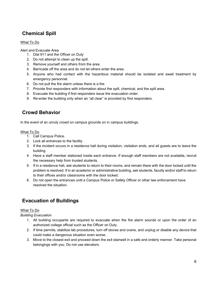# <span id="page-6-0"></span>**Chemical Spill**

## What To Do

Alert and Evacuate Area

- 1. Dial 911 and the Officer on Duty
- 2. Do not attempt to clean up the spill.
- 3. Remove yourself and others from the area.
- 4. Barricade off the area and do not let others enter the area.
- 5. Anyone who had contact with the hazardous material should be isolated and await treatment by emergency personnel.
- 6. Do not pull the fire alarm unless there is a fire.
- 7. Provide first responders with information about the spill, chemical, and the spill area.
- 8. Evacuate the building if first responders issue the evacuation order.
- 9. Re-enter the building only when an "all clear" is provided by first responders.

# <span id="page-6-1"></span>**Crowd Behavior**

In the event of an unruly crowd on campus grounds on in campus buildings.

## What To Do

- 1. Call Campus Police.
- 2. Lock all entrances to the facility.
- 3. If the incident occurs in a residence hall during visitation, visitation ends, and all guests are to leave the building.
- 4. Have a staff member stationed inside each entrance. If enough staff members are not available, recruit the necessary help from trusted students.
- 5. If in a residence hall, ask students to return to their rooms, and remain there with the door locked until the problem is resolved. If in an academic or administrative building, ask students, faculty and/or staff to return to their offices and/or classrooms with the door locked.
- 6. Do not open the entrances until a Campus Police or Safety Officer or other law enforcement have resolved the situation.

# <span id="page-6-2"></span>**Evacuation of Buildings**

## What To Do

*Building Evacuation*

- 1. All building occupants are required to evacuate when the fire alarm sounds or upon the order of an authorized college official such as the Officer on Duty.
- 2. If time permits, stabilize lab procedures, turn off stoves and ovens, and unplug or disable any device that could make a dangerous situation even worse.
- 3. Move to the closest exit and proceed down the exit stairwell in a safe and orderly manner. Take personal belongings with you. Do not use elevators.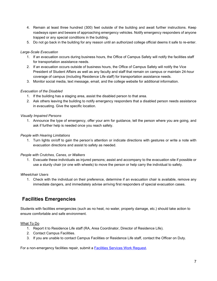- 4. Remain at least three hundred (300) feet outside of the building and await further instructions. Keep roadways open and beware of approaching emergency vehicles. Notify emergency responders of anyone trapped or any special conditions in the building.
- 5. Do not go back in the building for any reason until an authorized college official deems it safe to re-enter.

#### *Large-Scale Evacuation*

- 1. If an evacuation occurs during business hours, the Office of Campus Safety will notify the facilities staff for transportation assistance needs.
- 2. If an evacuation occurs outside of business hours, the Office of Campus Safety will notify the Vice President of Student Affairs as well as any faculty and staff that remain on campus or maintain 24-hour coverage of campus (including Residence Life staff) for transportation assistance needs.
- 3. Monitor social media, text message, email, and the college website for additional information.

## *Evacuation of the Disabled*

- 1. If the building has a staging area, assist the disabled person to that area.
- 2. Ask others leaving the building to notify emergency responders that a disabled person needs assistance in evacuating. Give the specific location.

## *Visually Impaired Persons*

1. Announce the type of emergency, offer your arm for guidance, tell the person where you are going, and ask if further help is needed once you reach safety.

#### *People with Hearing Limitations*

1. Turn lights on/off to gain the person's attention or indicate directions with gestures or write a note with evacuation directions and assist to safety as needed.

#### *People with Crutches, Canes, or Walkers*

1. Evacuate these individuals as injured persons; assist and accompany to the evacuation site if possible or use a sturdy chair (or one with wheels) to move the person or help carry the individual to safety.

#### *Wheelchair Users*

1. Check with the individual on their preference, determine if an evacuation chair is available, remove any immediate dangers, and immediately advise arriving first responders of special evacuation cases.

# <span id="page-7-0"></span>**Facilities Emergencies**

Students with facilities emergencies (such as no heat, no water, property damage, etc.) should take action to ensure comfortable and safe environment.

## What To Do

- 1. Report it to Residence Life staff (RA, Area Coordinator, Director of Residence Life).
- 2. Contact Campus Facilities.
- 3. If you are unable to contact Campus Facilities or Residence Life staff, contact the Officer on Duty.

For a non-emergency facilities repair, submit a **Facilities Services Work Request**.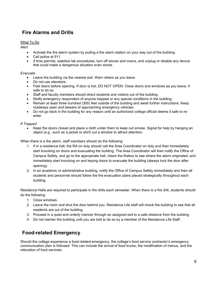# <span id="page-8-0"></span>**Fire Alarms and Drills**

## What To Do

*Alert*

- Activate the fire alarm system by pulling a fire alarm station on your way out of the building.
- Call police at 911.
- If time permits, stabilize lab procedures, turn off stoves and ovens, and unplug or disable any device that could make a dangerous situation even worse.

#### *Evacuate*

- Leave the building via the nearest exit. Warn others as you leave.
- Do not use elevators.
- Feel doors before opening. If door is hot, DO NOT OPEN. Close doors and windows as you leave, if safe to do so.
- Staff and faculty members should direct students and visitors out of the building.
- Notify emergency responders of anyone trapped or any special conditions in the building.
- Remain at least three hundred (300) feet outside of the building and await further instructions. Keep roadways open and beware of approaching emergency vehicles.
- Do not go back in the building for any reason until an authorized college official deems it safe to reenter.

## *If Trapped*

• Keep the doors closed and place a cloth under them to keep out smoke. Signal for help by hanging an object (e.g., such as a jacket or shirt) out a window to attract attention.

When there is a fire alarm, staff members should do the following:

- 1. If in a residence hall, the RA on duty should call the Area Coordinator on duty and then immediately start knocking on doors and evacuating the building. The Area Coordinator will then notify the Office of Campus Safety, and go to the appropriate hall, check the firebox to see where the alarm originated, and immediately start knocking on and keying doors to evacuate the building (always lock the door after opening).
- 2. In an academic or administrative building, notify the Office of Campus Safety immediately and then all students and personnel should follow the fire evacuation plans placed strategically throughout each building.

Residence Halls are required to participate in fire drills each semester. When there is a fire drill, students should do the following:

- 1. Close windows.
- 2. Leave the room and shut the door behind you. Residence Life staff will check the building to see that all residents are out of the building.
- 3. Proceed in a quiet and orderly manner through an assigned exit to a safe distance from the building.
- 4. Do not reenter the building until you are told to do so by a member of the Residence Life Staff.

# <span id="page-8-1"></span>**Food-related Emergency**

Should the college experience a food-related emergency, the college's food service contractor's emergency communication plan is followed. This can include the arrival of food trucks, the modification of menus, and the relocation of food services.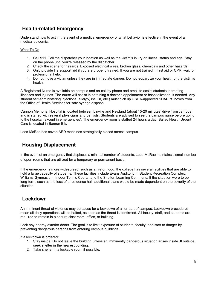# <span id="page-9-0"></span>**Health-related Emergency**

Understand how to act in the event of a medical emergency or what behavior is effective in the event of a medical epidemic.

#### What To Do

- 1. Call 911. Tell the dispatcher your location as well as the victim's injury or illness, status and age. Stay on the phone until you're released by the dispatcher.
- 2. Check the scene for hazards. Exposed electrical wires, broken glass, chemicals and other hazards.
- 3. Only provide life support aid if you are properly trained. If you are not trained in first aid or CPR, wait for professional help.
- 4. Do not move a victim unless they are in immediate danger. Do not jeopardize your health or the victim's health.

A Registered Nurse is available on campus and on-call by phone and email to assist students in treating illnesses and injuries. The nurse will assist in obtaining a doctor's appointment or hospitalization, if needed. Any student self-administering injections (allergy, insulin, etc.) must pick up OSHA-approved SHARPS boxes from the Office of Health Services for safe syringe disposal.

Cannon Memorial Hospital is located between Linville and Newland (about 15-20 minutes' drive from campus) and is staffed with several physicians and dentists. Students are advised to see the campus nurse before going to the hospital (except in emergencies). The emergency room is staffed 24 hours a day. Ballad Health Urgent Care is located in Banner Elk.

Lees-McRae has seven AED machines strategically placed across campus.

# <span id="page-9-1"></span>**Housing Displacement**

In the event of an emergency that displaces a minimal number of students, Lees-McRae maintains a small number of open rooms that are utilized for a temporary or permanent basis.

If the emergency is more widespread, such as a fire or flood, the college has several facilities that are able to hold a large capacity of students. These facilities include Evans Auditorium, Student Recreation Complex, Williams Gymnasium, Indoor Tennis Courts, and the Shelton Learning Commons. If the situation were to be long-term, such as the loss of a residence hall, additional plans would be made dependent on the severity of the situation.

# <span id="page-9-2"></span>**Lockdown**

An imminent threat of violence may be cause for a lockdown of all or part of campus. Lockdown procedures mean all daily operations will be halted, as soon as the threat is confirmed. All faculty, staff, and students are required to remain in a secure classroom, office, or building.

Lock any nearby exterior doors. The goal is to limit exposure of students, faculty, and staff to danger by preventing dangerous persons from entering campus buildings.

If a lockdown is ordered:

- 1. Stay inside! Do not leave the building unless an imminently dangerous situation arises inside. If outside, seek shelter in the nearest building.
- 2. Take shelter in a lockable room if possible.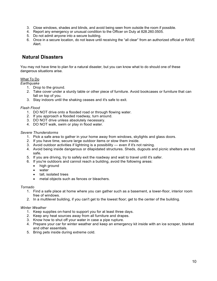- 3. Close windows, shades and blinds, and avoid being seen from outside the room if possible.
- 4. Report any emergency or unusual condition to the Officer on Duty at 828.260.0505.
- 5. Do not admit anyone into a secure building.
- 6. Once in a secure location, do not leave until receiving the "all clear" from an authorized official or RAVE Alert.

# <span id="page-10-0"></span>**Natural Disasters**

You may not have time to plan for a natural disaster, but you can know what to do should one of these dangerous situations arise.

#### What To Do

#### *Earthquake*

- 1. Drop to the ground.
- 2. Take cover under a sturdy table or other piece of furniture. Avoid bookcases or furniture that can fall on top of you.
- 3. Stay indoors until the shaking ceases and it's safe to exit.

#### *Flash Flood*

- 1. DO NOT drive onto a flooded road or through flowing water.
- 2. If you approach a flooded roadway, turn around.
- 3. DO NOT drive unless absolutely necessary.
- 4. DO NOT walk, swim or play in flood water.

#### *Severe Thunderstorms*

- 1. Pick a safe area to gather in your home away from windows, skylights and glass doors.
- 2. If you have time, secure large outdoor items or stow them inside.
- 3. Avoid outdoor activities if lightning is a possibility even if it's not raining.
- 4. Avoid being inside dangerous or dilapidated structures. Sheds, dugouts and picnic shelters are not safe.
- 5. If you are driving, try to safely exit the roadway and wait to travel until it's safer.
- 6. If you're outdoors and cannot reach a building, avoid the following areas:
	- high ground
	- water
	- tall, isolated trees
	- metal objects such as fences or bleachers.

#### *Tornado*

- 1. Find a safe place at home where you can gather such as a basement, a lower-floor, interior room free of windows.
- 2. In a multilevel building, if you can't get to the lowest floor; get to the center of the building.

#### *Winter Weather*

- 1. Keep supplies on-hand to support you for at least three days.
- 2. Keep any heat sources away from all furniture and drapes.
- 3. Know how to shut off your water in case a pipe rupture.
- 4. Prepare your car for winter weather and keep an emergency kit inside with an ice scraper, blanket and other essentials.
- 5. Bring pets inside during extreme cold.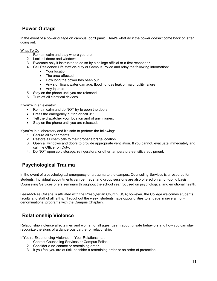# <span id="page-11-0"></span>**Power Outage**

In the event of a power outage on campus, don't panic. Here's what do if the power doesn't come back on after going out.

What To Do

- 1. Remain calm and stay where you are.
- 2. Lock all doors and windows.
- 3. Evacuate only if instructed to do so by a college official or a first responder.
- 4. Call Residence Life staff on-duty or Campus Police and relay the following information:
	- Your location
	- The area affected
	- How long the power has been out
	- Any significant water damage, flooding, gas leak or major utility failure
	- Any injuries
- 5. Stay on the phone until you are released.
- 6. Turn off all electrical devices.

If you're in an elevator:

- Remain calm and do NOT try to open the doors.
- Press the emergency button or call 911.
- Tell the dispatcher your location and of any injuries.
- Stay on the phone until you are released.

If you're in a laboratory and it's safe to perform the following:

- 1. Secure all experiments.
- 2. Restore all chemicals to their proper storage location.
- 3. Open all windows and doors to provide appropriate ventilation. If you cannot, evacuate immediately and call the Officer on Duty.
- 4. Do NOT open cold storage, refrigerators, or other temperature-sensitive equipment.

# <span id="page-11-1"></span>**Psychological Trauma**

In the event of a psychological emergency or a trauma to the campus, Counseling Services is a resource for students. Individual appointments can be made, and group sessions are also offered on an on-going basis. Counseling Services offers seminars throughout the school year focused on psychological and emotional health.

Lees-McRae College is affiliated with the Presbyterian Church, USA; however, the College welcomes students, faculty and staff of all faiths. Throughout the week, students have opportunities to engage in several nondenominational programs with the Campus Chaplain.

# <span id="page-11-2"></span>**Relationship Violence**

Relationship violence affects men and women of all ages. Learn about unsafe behaviors and how you can stay recognize the signs of a dangerous partner or relationship.

If You're Experiencing Violence In Your Relationship...

- 1. Contact Counseling Services or Campus Police.
- 2. Consider a no-contact or restraining order.
- 3. If you feel you are at risk, consider a restraining order or an order of protection.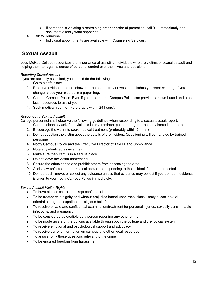- If someone is violating a restraining order or order of protection, call 911 immediately and document exactly what happened.
- 4. Talk to Someone
	- Individual appointments are available with Counseling Services.

# <span id="page-12-0"></span>**Sexual Assault**

Lees-McRae College recognizes the importance of assisting individuals who are victims of sexual assault and helping them to regain a sense of personal control over their lives and decisions.

## *Reporting Sexual Assault*

If you are sexually assaulted, you should do the following:

- 1. Go to a safe place.
- 2. Preserve evidence: do not shower or bathe, destroy or wash the clothes you were wearing. If you change, place your clothes in a paper bag.
- 3. Contact Campus Police. Even if you are unsure, Campus Police can provide campus-based and other local resources to assist you.
- 4. Seek medical treatment (preferably within 24 hours).

#### *Response to Sexual Assault:*

College personnel shall observe the following guidelines when responding to a sexual assault report:

- 1. Compassionately ask if the victim is in any imminent pain or danger or has any immediate needs.
- 2. Encourage the victim to seek medical treatment (preferably within 24 hrs.)
- 3. Do not question the victim about the details of the incident. Questioning will be handled by trained personnel.
- 4. Notify Campus Police and the Executive Director of Title IX and Compliance.
- 5. Note any identified assailant(s).
- 6. Make sure the victim is in a secure place.
- 7. Do not leave the victim unattended.
- 8. Secure the crime scene and prohibit others from accessing the area.
- 9. Assist law enforcement or medical personnel responding to the incident if and as requested.
- 10. Do not touch, move, or collect any evidence unless that evidence may be lost if you do not. If evidence is given to you, notify Campus Police immediately.

## *Sexual Assault Victim Rights:*

- To have all medical records kept confidential
- To be treated with dignity and without prejudice based upon race, class, lifestyle, sex, sexual orientation, age, occupation, or religious beliefs
- To receive private and confidential examination/treatment for personal injuries, sexually transmittable infections, and pregnancy
- To be considered as credible as a person reporting any other crime
- To be made aware of the options available through both the college and the judicial system
- To receive emotional and psychological support and advocacy
- To receive current information on campus and other local resources
- To answer only those questions relevant to the crime
- To be ensured freedom from harassment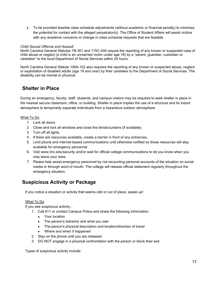• To be provided feasible class schedule adjustments (without academic or financial penalty) to minimize the potential for contact with the alleged perpetrator(s). The Office of Student Affairs will assist victims with any academic concerns or change in class schedule requests that are feasible.

#### *Child Sexual Offense and Assault:*

North Carolina General Statutes 7B-301 and 115C-400 require the reporting of any known or suspected case of child abuse or neglect (a child is an unmarried victim under age 18) by a "parent, guardian, custodian or caretaker" to the local Department of Social Services within 24 hours.

North Carolina General Statute 108A-102 also requires the reporting of any known or suspected abuse, neglect or exploitation of disabled adults (age 18 and over) by their caretaker to the Department of Social Services. The disability can be mental or physical.

# <span id="page-13-0"></span>**Shelter in Place**

During an emergency, faculty, staff, students, and campus visitors may be required to seek shelter in place in the nearest secure classroom, office, or building. Shelter in place implies the use of a structure and its indoor atmosphere to temporarily separate individuals from a hazardous outdoor atmosphere.

#### What To Do

- 1. Lock all doors.
- 2. Close and lock all windows and close the blinds/curtains (if available).
- 3. Turn off all lights.
- 4. If there are resources available, create a barrier in front of any entrances.
- 5. Limit phone and internet-based communications until otherwise notified so those resources will stay available for emergency personnel
- 6. Visit www.lmc.edu/security and/or wait for official college communications to let you know when you may leave your area.
- 7. Please help assist emergency personnel by not recounting personal accounts of the situation on social media or through word of mouth. The college will release official statement regularly throughout the emergency situation.

# <span id="page-13-1"></span>**Suspicious Activity or Package**

If you notice a situation or activity that seems odd or out of place, speak up!

## What To Do

If you see suspicious activity...

- 1. Call 911 or contact Campus Police and share the following information:
	- Your location
	- The person's behavior and what you saw
	- The person's physical description and location/direction of travel
	- Where and when it happened
- 2. Stay on the phone until you are released.
- 3. DO NOT engage in a physical confrontation with the person or block their exit.

Types of suspicious activity include: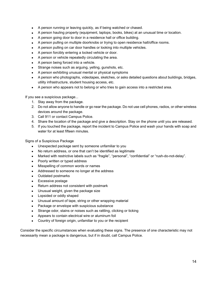- A person running or leaving quickly, as if being watched or chased.
- A person hauling property (equipment, laptops, books, bikes) at an unusual time or location.
- A person going door to door in a residence hall or office building.
- A person pulling on multiple doorknobs or trying to open residence hall/office rooms.
- A person pulling on car door handles or looking into multiple vehicles.
- A person forcibly entering a locked vehicle or door.
- A person or vehicle repeatedly circulating the area.
- A person being forced into a vehicle.
- Strange noises such as arguing, yelling, gunshots, etc.
- A person exhibiting unusual mental or physical symptoms
- A person who photographs, videotapes, sketches, or asks detailed questions about buildings, bridges, utility infrastructure, student housing access, etc.
- A person who appears not to belong or who tries to gain access into a restricted area.

If you see a suspicious package...

- 1. Stay away from the package.
- 2. Do not allow anyone to handle or go near the package. Do not use cell phones, radios, or other wireless devices around the package.
- 3. Call 911 or contact Campus Police.
- 4. Share the location of the package and give a description. Stay on the phone until you are released.
- 5. If you touched the package, report the incident to Campus Police and wash your hands with soap and water for at least fifteen minutes.

Signs of a Suspicious Package

- Unexpected package sent by someone unfamiliar to you
- No return address, or one that can't be identified as legitimate
- Marked with restrictive labels such as "fragile", "personal", "confidential" or "rush-do-not-delay".
- Poorly written or typed address
- Misspelling of common words or names
- Addressed to someone no longer at the address
- Outdated postmarks
- Excessive postage
- Return address not consistent with postmark
- Unusual weight, given the package size
- Lopsided or oddly shaped
- Unusual amount of tape, string or other wrapping material
- Package or envelope with suspicious substance
- Strange odor, stains or noises such as rattling, clicking or ticking
- Appears to contain electrical wire or aluminum foil
- Country of foreign origin, unfamiliar to you or the recipient

Consider the specific circumstances when evaluating these signs. The presence of one characteristic may not necessarily mean a package is dangerous, but if in doubt, call Campus Police.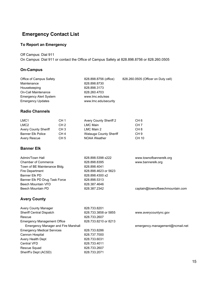# <span id="page-15-0"></span>**Emergency Contact List**

# **To Report an Emergency**

Off Campus: Dial 911

On Campus: Dial 911 or contact the Office of Campus Safety at 828.898.8756 or 828.260.0505

## **On-Campus**

| Office of Campus Safety       | 828.898.8756 (office) | 828.260.0505 (Officer on Duty cell) |
|-------------------------------|-----------------------|-------------------------------------|
| Maintenance                   | 828.898.8730          |                                     |
| Housekeeping                  | 828.898.3173          |                                     |
| On-Call Maintenance           | 828.260.4703          |                                     |
| <b>Emergency Alert System</b> | www.lmc.edu/eas       |                                     |
| <b>Emergency Updates</b>      | www.lmc.edu/security  |                                     |

## **Radio Channels**

| LMC <sub>1</sub>            | CH <sub>1</sub> | <b>Avery County Sheriff 2</b> | CH 6            |
|-----------------------------|-----------------|-------------------------------|-----------------|
| LMC <sub>2</sub>            | CH <sub>2</sub> | LMC Main                      | CH <sub>7</sub> |
| <b>Avery County Sheriff</b> | CH <sub>3</sub> | LMC Main 2                    | CH 8            |
| Banner Elk Police           | CH <sub>4</sub> | Watauga County Sheriff        | CH 9            |
| <b>Avery Rescue</b>         | CH <sub>5</sub> | <b>NOAA Weather</b>           | CH 10           |

# **Banner Elk**

| Admin/Town Hall               | 828.898.5398 x222    | www.townofbannerelk.org         |
|-------------------------------|----------------------|---------------------------------|
| <b>Chamber of Commerce</b>    | 828.898.8395         | www.bannerelk.org               |
| Town of BE Maintenance Bldg.  | 828.898.4041         |                                 |
| <b>Fire Department</b>        | 828.898.4623 or 5623 |                                 |
| Banner Elk PD                 | 828.898.4300 x2      |                                 |
| Banner Elk PD Drug Task Force | 828.898.5313         |                                 |
| Beech Mountain VFD            | 828.387.4646         |                                 |
| Beech Mountain PD             | 828.387.2342         | captain@townofbeechmountain.com |
|                               |                      |                                 |

# **Avery County**

| <b>Avery County Manager</b>         | 828.733.8201         |                                 |
|-------------------------------------|----------------------|---------------------------------|
| <b>Sheriff Central Dispatch</b>     | 828.733.3858 or 5855 | www.averycountync.gov           |
| Rescue                              | 828.733.2607         |                                 |
| <b>Emergency Management Office</b>  | 828.733.8210 or 8213 |                                 |
| Emergency Manager and Fire Marshall |                      | emergency.management@ncmail.net |
| <b>Emergency Medical Services</b>   | 828.733.8286         |                                 |
| Cannon Hospital                     | 828.737.7000         |                                 |
| Avery Health Dept                   | 828.733.6031         |                                 |
| <b>Central VFD</b>                  | 828.733.4011         |                                 |
| Rescue Squad                        | 828.733.2607         |                                 |
| Sheriff's Dept (ACSD)               | 828.733.2071         |                                 |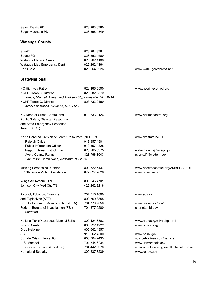| Seven Devils PD<br>Sugar Mountain PD                          | 828.963.6760<br>828.898.4349 |                                            |
|---------------------------------------------------------------|------------------------------|--------------------------------------------|
|                                                               |                              |                                            |
| Watauga County                                                |                              |                                            |
| Sheriff                                                       | 828.264.3761                 |                                            |
| Boone PD                                                      | 828.262.4500                 |                                            |
| Watauga Medical Center                                        | 828.262.4100                 |                                            |
| Watauga Med Emergency Dept                                    | 828.262.4164                 |                                            |
| <b>Red Cross</b>                                              | 828.264.8226                 | www.wataugaredcross.net                    |
| State/National                                                |                              |                                            |
| NC Highway Patrol                                             | 828.466.5500                 | www.nccrimecontrol.org                     |
| NCHP Troop G, District I                                      | 828.682.2579                 |                                            |
| Yancy, Mitchell, Avery, and Madison Cty, Burnsville, NC 28714 |                              |                                            |
| NCHP Troop G, District I                                      | 828.733.0489                 |                                            |
| Avery Substation, Newland, NC 28657                           |                              |                                            |
| NC Dept. of Crime Control and                                 | 919.733.2126                 | www.ncrimecontrol.org                      |
| Public Safety; Disaster Response                              |                              |                                            |
| and State Emergency Response                                  |                              |                                            |
| Team (SERT)                                                   |                              |                                            |
| North Carolina Division of Forest Resources (NCDFR)           |                              | www.dfr.state.nc.us                        |
| Raleigh Office                                                | 919.857.4801                 |                                            |
| <b>Public Information Officer</b>                             | 919.857.4828                 |                                            |
| Region Three, District Two                                    | 828.265.5375                 | watauga.ncfs@ncagr.gov                     |
| Avery County Ranger                                           | 828.766.8043                 | avery.dfr@ncdenr.gov                       |
| 242 Prison Camp Road, Newland, NC 28657                       |                              |                                            |
| Missing Persons NC Center                                     | 800.522.5437                 | www.nccrimecontrol.org/AMBERALERT/         |
| NC Statewide Victim Assistance                                | 877.627.2826                 | www.ncsavan.org                            |
| Wings Air Rescue, TN                                          | 800.946.4701                 |                                            |
| Johnson City Med Ctr, TN                                      | 423.262.9218                 |                                            |
| Alcohol, Tobacco, Firearms,                                   | 704.716.1800                 | www.atf.gov                                |
| and Explosives (ATF)                                          | 800.800.3855                 |                                            |
| Drug Enforcement Administration (DEA)                         | 704.770.2050                 | www.usdoj.gov/dea/                         |
| Federal Bureau of Investigation (FBI)<br>Charlotte            | 704.377.9200                 | charlotte.fbi.gov                          |
| National Toxic/Hazardous Material Spills                      | 800.424.8802                 | www.nrc.uscg.mil/nrchp.html                |
| Poison Center                                                 | 800.222.1222                 | www.poison.org                             |
| Drug Helpline                                                 | 800.662.4357                 |                                            |
| SBI                                                           | 919.662.4500                 | www.ncsbi.gov                              |
| Suicide Crisis Intervention                                   | 800.784.2433                 | suicidehotlines.com/national               |
| U.S. Marshall                                                 | 704.344.6234                 | www.usmarshals.gov                         |
| U.S. Secret Service (Charlotte)                               | 704.442.8370                 | www.secretservice.gov/ectf_charlotte.shtml |
| <b>Homeland Security</b>                                      | 800.237.3239                 | www.ready.gov                              |